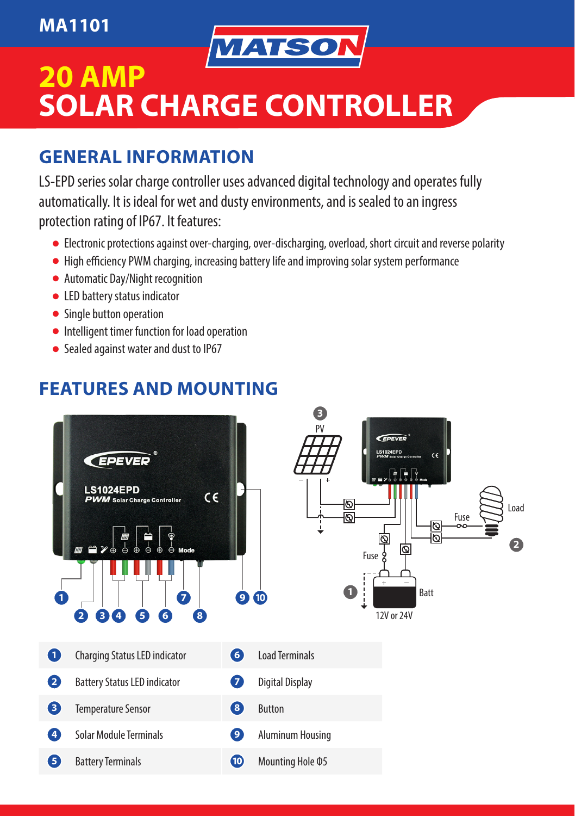#### **MA1101**



# **20 AMP SOLAR CHARGE CONTROLLER**

### **GENERAL INFORMATION**

LS-EPD series solar charge controller uses advanced digital technology and operates fully automatically. It is ideal for wet and dusty environments, and is sealed to an ingress protection rating of IP67. It features:

- Electronic protections against over-charging, over-discharging, overload, short circuit and reverse polarity
- High efficiency PWM charging, increasing battery life and improving solar system performance
- Automatic Day/Night recognition
- LED battery status indicator
- Single button operation
- Intelligent timer function for load operation
- Sealed against water and dust to IP67

### **FEATURES AND MOUNTING**

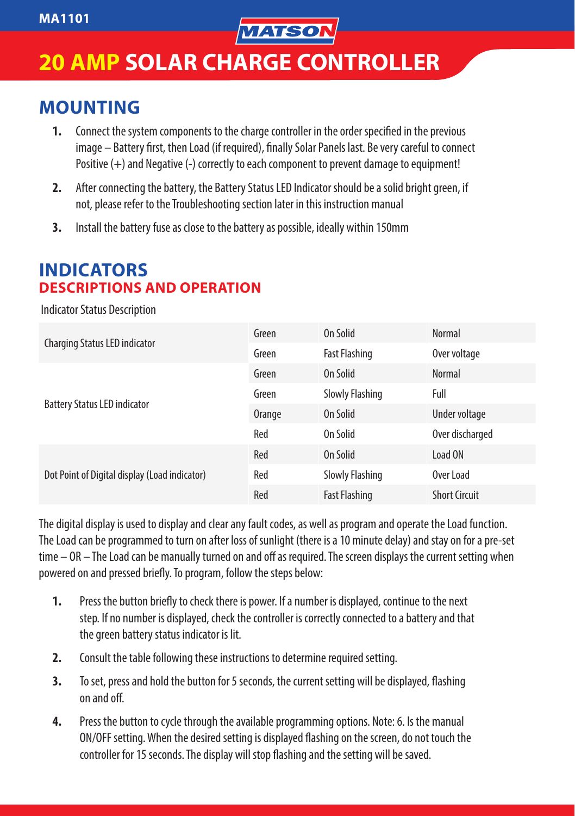

# **20 AMP SOLAR CHARGE CONTROLLER**

#### **MOUNTING**

- **1.** Connect the system components to the charge controller in the order specified in the previous image – Battery first, then Load (if required), finally Solar Panels last. Be very careful to connect Positive (+) and Negative (-) correctly to each component to prevent damage to equipment!
- 2. After connecting the battery, the Battery Status LED Indicator should be a solid bright green. if not, please refer to the Troubleshooting section later in this instruction manual
- **3.** Install the battery fuse as close to the battery as possible, ideally within 150mm

#### **INDICATORS DESCRIPTIONS AND OPERATION**

Indicator Status Description

| Charging Status LED indicator                 | Green  | On Solid               | Normal               |
|-----------------------------------------------|--------|------------------------|----------------------|
|                                               | Green  | <b>Fast Flashing</b>   | Over voltage         |
| <b>Battery Status LED indicator</b>           | Green  | On Solid               | Normal               |
|                                               | Green  | <b>Slowly Flashing</b> | Full                 |
|                                               | Orange | On Solid               | Under voltage        |
|                                               | Red    | On Solid               | Over discharged      |
| Dot Point of Digital display (Load indicator) | Red    | On Solid               | Load ON              |
|                                               | Red    | <b>Slowly Flashing</b> | Over Load            |
|                                               | Red    | <b>Fast Flashing</b>   | <b>Short Circuit</b> |

The digital display is used to display and clear any fault codes, as well as program and operate the Load function. The Load can be programmed to turn on after loss of sunlight (there is a 10 minute delay) and stay on for a pre-set time – OR – The Load can be manually turned on and off as required. The screen displays the current setting when powered on and pressed briefly. To program, follow the steps below:

- **1.** Press the button briefly to check there is power. If a number is displayed, continue to the next step. If no number is displayed, check the controller is correctly connected to a battery and that the green battery status indicator is lit.
- **2.** Consult the table following these instructions to determine required setting.
- **3.** To set, press and hold the button for 5 seconds, the current setting will be displayed, flashing on and off.
- **4.** Press the button to cycle through the available programming options. Note: 6. Is the manual ON/OFF setting. When the desired setting is displayed flashing on the screen, do not touch the controller for 15 seconds. The display will stop flashing and the setting will be saved.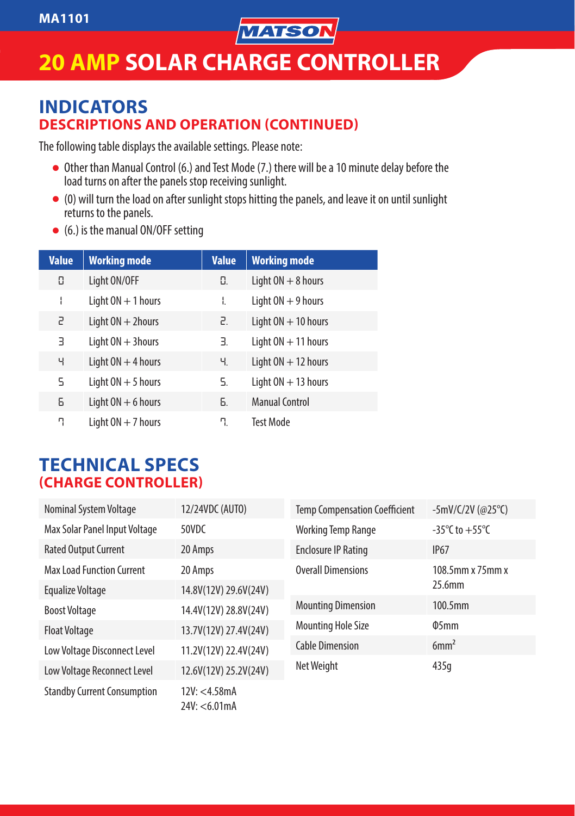

# **20 AMP SOLAR CHARGE CONTROLLER**

#### **INDICATORS DESCRIPTIONS AND OPERATION (CONTINUED)**

The following table displays the available settings. Please note:

- Other than Manual Control (6.) and Test Mode (7.) there will be a 10 minute delay before the load turns on after the panels stop receiving sunlight.
- (0) will turn the load on after sunlight stops hitting the panels, and leave it on until sunlight returns to the panels.
- (6.) is the manual ON/OFF setting

| <b>Value</b> | <b>Working mode</b>  | <b>Value</b> | <b>Working mode</b>   |
|--------------|----------------------|--------------|-----------------------|
| 0            | Light ON/OFF         | Ο.           | Light $ON + 8$ hours  |
| I            | Light $ON + 1$ hours | I.           | Light $ON + 9$ hours  |
| 5            | Light $ON + 2$ hours | г.           | Light $ON + 10$ hours |
| В            | Light $ON + 3$ hours | В.           | Light $ON + 11$ hours |
| Ч            | Light $ON + 4$ hours | Ч.           | Light $ON + 12$ hours |
| 5            | Light $ON + 5$ hours | S.           | Light $ON + 13$ hours |
| 6            | Light $ON + 6$ hours | Б.           | <b>Manual Control</b> |
| η            | Light $ON + 7$ hours | ۹.           | <b>Test Mode</b>      |

#### **TECHNICAL SPECS (CHARGE CONTROLLER)**

| Nominal System Voltage             | 12/24VDC (AUTO)                | <b>Temp Compensation Coefficient</b> | -5mV/C/2V (@25°C)                  |
|------------------------------------|--------------------------------|--------------------------------------|------------------------------------|
| Max Solar Panel Input Voltage      | 50VDC                          | <b>Working Temp Range</b>            | $-35^{\circ}$ C to $+55^{\circ}$ C |
| <b>Rated Output Current</b>        | 20 Amps                        | <b>Enclosure IP Rating</b>           | <b>IP67</b>                        |
| <b>Max Load Function Current</b>   | 20 Amps                        | <b>Overall Dimensions</b>            | 108.5mm x 75mm x<br>25.6mm         |
| Equalize Voltage                   | 14.8V(12V) 29.6V(24V)          |                                      |                                    |
| <b>Boost Voltage</b>               | 14.4V(12V) 28.8V(24V)          | <b>Mounting Dimension</b>            | $100.5$ mm                         |
| <b>Float Voltage</b>               | 13.7V(12V) 27.4V(24V)          | <b>Mounting Hole Size</b>            | $\Phi$ 5mm                         |
| Low Voltage Disconnect Level       | 11.2V(12V) 22.4V(24V)          | <b>Cable Dimension</b>               | 6mm <sup>2</sup>                   |
| Low Voltage Reconnect Level        | 12.6V(12V) 25.2V(24V)          | Net Weight                           | 435q                               |
| <b>Standby Current Consumption</b> | 12V: < 4.58mA<br>24V: < 6.01mA |                                      |                                    |